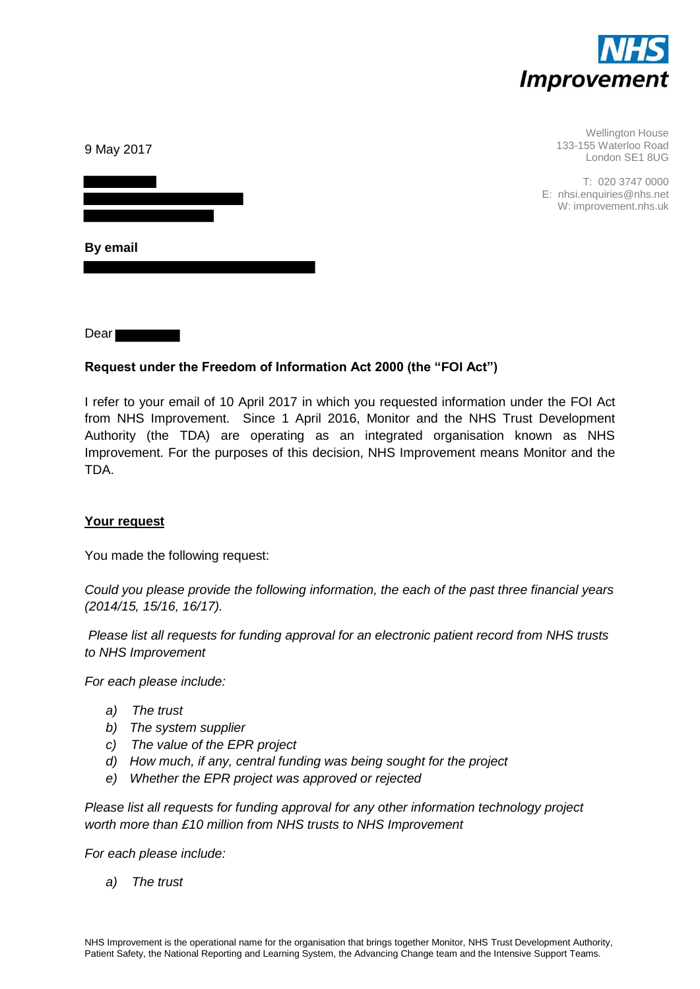

| 9 May 2017 | <b>Wellington House</b><br>133-155 Waterloo Road<br>London SE1 8UG     |
|------------|------------------------------------------------------------------------|
|            | T: 020 3747 0000<br>E: nhsi.enquiries@nhs.net<br>W: improvement.nhs.uk |
| By email   |                                                                        |

Dear

# **Request under the Freedom of Information Act 2000 (the "FOI Act")**

I refer to your email of 10 April 2017 in which you requested information under the FOI Act from NHS Improvement. Since 1 April 2016, Monitor and the NHS Trust Development Authority (the TDA) are operating as an integrated organisation known as NHS Improvement. For the purposes of this decision, NHS Improvement means Monitor and the TDA.

### **Your request**

You made the following request:

*Could you please provide the following information, the each of the past three financial years (2014/15, 15/16, 16/17).* 

 *Please list all requests for funding approval for an electronic patient record from NHS trusts to NHS Improvement* 

*For each please include:* 

- *a) The trust*
- *b) The system supplier*
- *c) The value of the EPR project*
- *d) How much, if any, central funding was being sought for the project*
- *e) Whether the EPR project was approved or rejected*

*Please list all requests for funding approval for any other information technology project worth more than £10 million from NHS trusts to NHS Improvement* 

*For each please include:* 

*a) The trust*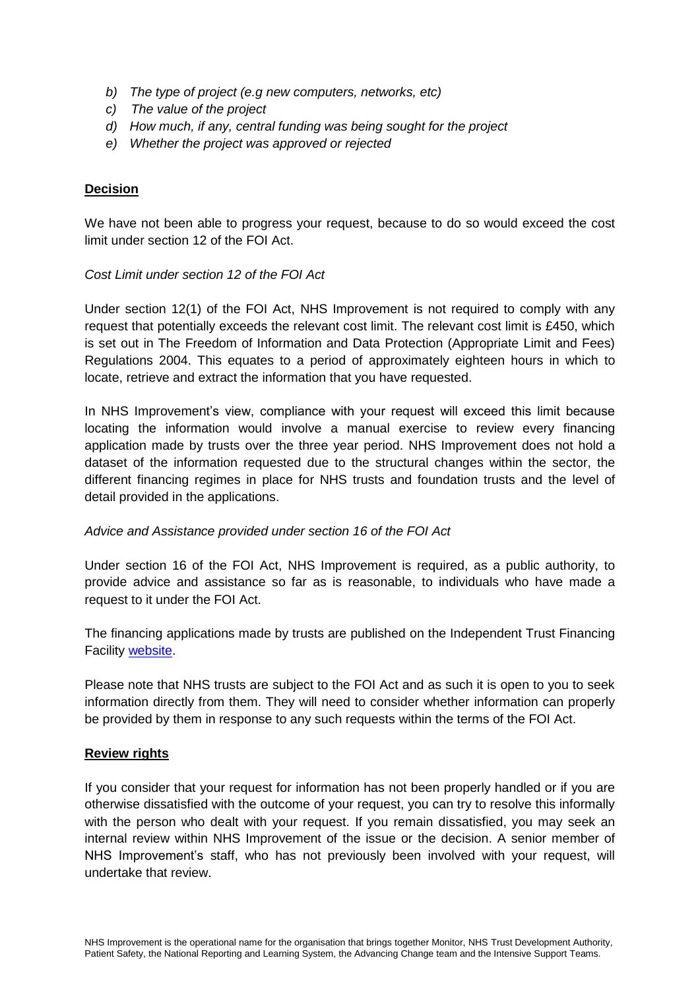- *b) The type of project (e.g new computers, networks, etc)*
- *c) The value of the project*
- *d) How much, if any, central funding was being sought for the project*
- *e) Whether the project was approved or rejected*

## **Decision**

We have not been able to progress your request, because to do so would exceed the cost limit under section 12 of the FOI Act.

### *Cost Limit under section 12 of the FOI Act*

Under section 12(1) of the FOI Act, NHS Improvement is not required to comply with any request that potentially exceeds the relevant cost limit. The relevant cost limit is £450, which is set out in The Freedom of Information and Data Protection (Appropriate Limit and Fees) Regulations 2004. This equates to a period of approximately eighteen hours in which to locate, retrieve and extract the information that you have requested.

In NHS Improvement's view, compliance with your request will exceed this limit because locating the information would involve a manual exercise to review every financing application made by trusts over the three year period. NHS Improvement does not hold a dataset of the information requested due to the structural changes within the sector, the different financing regimes in place for NHS trusts and foundation trusts and the level of detail provided in the applications.

### *Advice and Assistance provided under section 16 of the FOI Act*

Under section 16 of the FOI Act, NHS Improvement is required, as a public authority, to provide advice and assistance so far as is reasonable, to individuals who have made a request to it under the FOI Act.

The financing applications made by trusts are published on the Independent Trust Financing Facility [website.](https://www.gov.uk/government/groups/independent-trust-financing-facility)

Please note that NHS trusts are subject to the FOI Act and as such it is open to you to seek information directly from them. They will need to consider whether information can properly be provided by them in response to any such requests within the terms of the FOI Act.

### **Review rights**

If you consider that your request for information has not been properly handled or if you are otherwise dissatisfied with the outcome of your request, you can try to resolve this informally with the person who dealt with your request. If you remain dissatisfied, you may seek an internal review within NHS Improvement of the issue or the decision. A senior member of NHS Improvement's staff, who has not previously been involved with your request, will undertake that review.